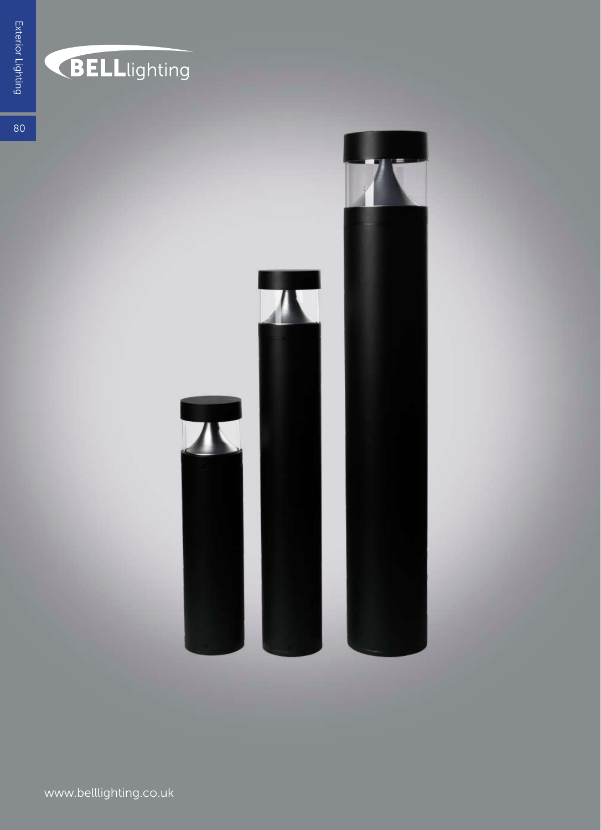### **BELL**lighting

80

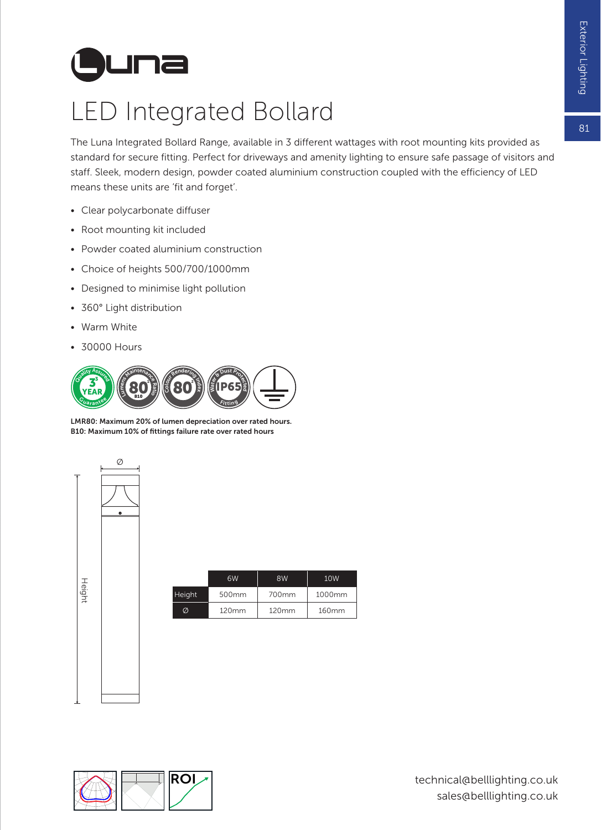# **L una**

#### LED Integrated Bollard

The Luna Integrated Bollard Range, available in 3 different wattages with root mounting kits provided as standard for secure fitting. Perfect for driveways and amenity lighting to ensure safe passage of visitors and staff. Sleek, modern design, powder coated aluminium construction coupled with the efficiency of LED means these units are 'fit and forget'.

- Clear polycarbonate diffuser
- Root mounting kit included
- Powder coated aluminium construction
- Choice of heights 500/700/1000mm
- Designed to minimise light pollution
- 360° Light distribution
- Warm White
- 30000 Hours



LMR80: Maximum 20% of lumen depreciation over rated hours. B10: Maximum 10% of fittings failure rate over rated hours



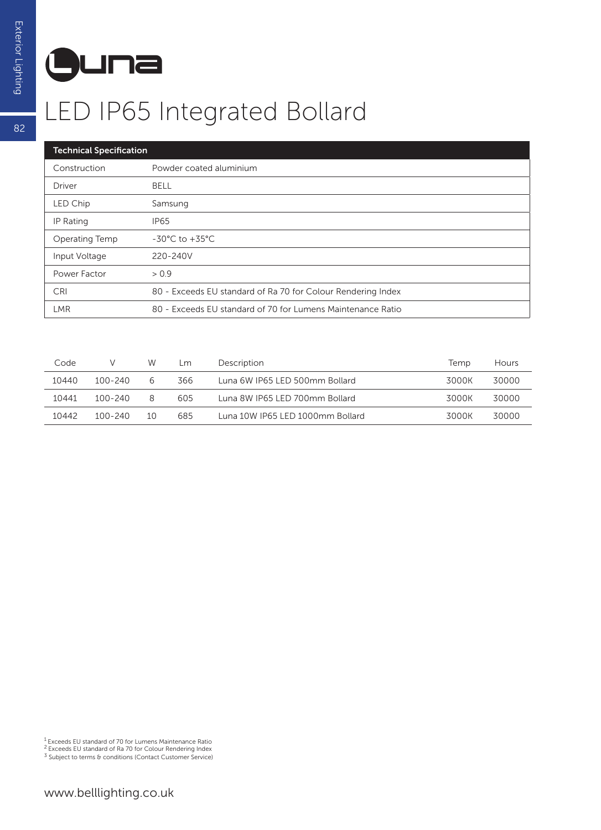## **L una**

#### LED IP65 Integrated Bollard

| <b>Technical Specification</b> |                                                              |  |  |  |  |
|--------------------------------|--------------------------------------------------------------|--|--|--|--|
| Construction                   | Powder coated aluminium                                      |  |  |  |  |
| Driver                         | <b>BELL</b>                                                  |  |  |  |  |
| LED Chip                       | Samsung                                                      |  |  |  |  |
| IP Rating                      | <b>IP65</b>                                                  |  |  |  |  |
| Operating Temp                 | $-30^{\circ}$ C to $+35^{\circ}$ C                           |  |  |  |  |
| Input Voltage                  | 220-240V                                                     |  |  |  |  |
| Power Factor                   | > 0.9                                                        |  |  |  |  |
| <b>CRI</b>                     | 80 - Exceeds EU standard of Ra 70 for Colour Rendering Index |  |  |  |  |
| <b>LMR</b>                     | 80 - Exceeds EU standard of 70 for Lumens Maintenance Ratio  |  |  |  |  |

| Code  | v       | W  | Lm. | Description                      | Temp  | Hours |
|-------|---------|----|-----|----------------------------------|-------|-------|
| 10440 | 100-240 | 6  | 366 | Luna 6W IP65 LED 500mm Bollard   | 3000K | 30000 |
| 10441 | 100-240 | 8  | 605 | Luna 8W IP65 LED 700mm Bollard   | 3000K | 30000 |
| 10442 | 100-240 | 10 | 685 | Luna 10W IP65 LED 1000mm Bollard | 3000K | 30000 |

<sup>1</sup> Exceeds EU standard of 70 for Lumens Maintenance Ratio<br><sup>2</sup> Exceeds EU standard of Ra 70 for Colour Rendering Index<br><sup>3</sup> Subject to terms & conditions (Contact Customer Service)

82